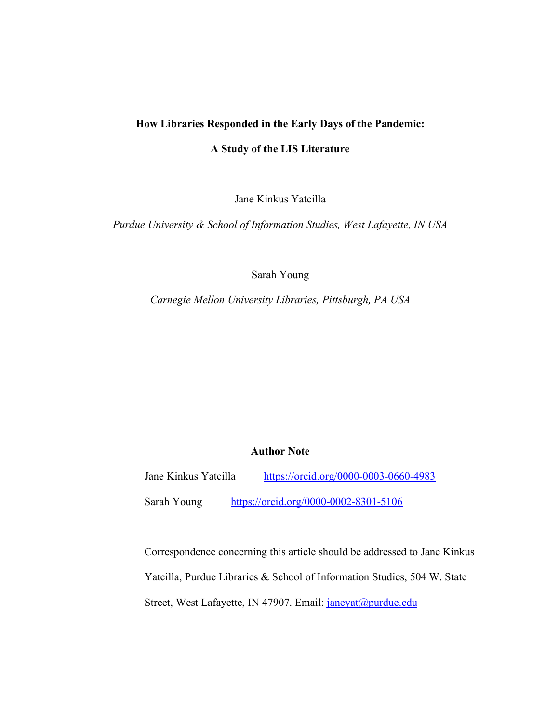# **How Libraries Responded in the Early Days of the Pandemic:**

#### **A Study of the LIS Literature**

Jane Kinkus Yatcilla

*Purdue University & School of Information Studies, West Lafayette, IN USA* 

Sarah Young

*Carnegie Mellon University Libraries, Pittsburgh, PA USA* 

#### **Author Note**

Jane Kinkus Yatcilla https://orcid.org/0000-0003-0660-4983

Sarah Young https://orcid.org/0000-0002-8301-5106

Correspondence concerning this article should be addressed to Jane Kinkus Yatcilla, Purdue Libraries & School of Information Studies, 504 W. State Street, West Lafayette, IN 47907. Email: janeyat@purdue.edu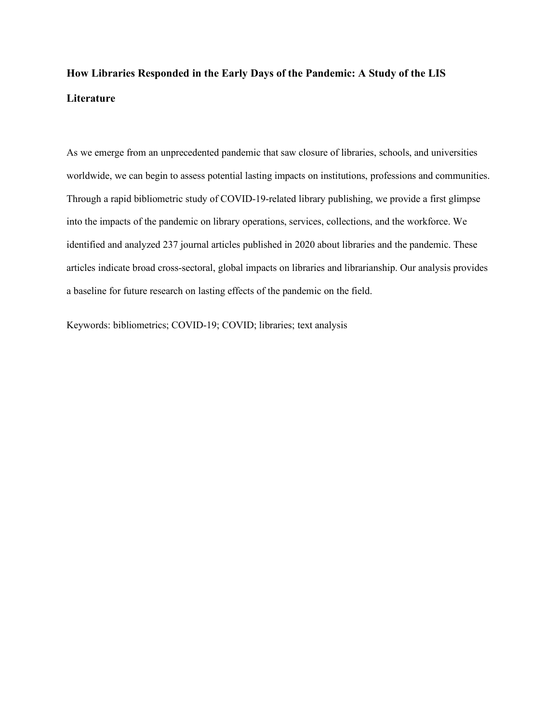# **How Libraries Responded in the Early Days of the Pandemic: A Study of the LIS Literature**

As we emerge from an unprecedented pandemic that saw closure of libraries, schools, and universities worldwide, we can begin to assess potential lasting impacts on institutions, professions and communities. Through a rapid bibliometric study of COVID-19-related library publishing, we provide a first glimpse into the impacts of the pandemic on library operations, services, collections, and the workforce. We identified and analyzed 237 journal articles published in 2020 about libraries and the pandemic. These articles indicate broad cross-sectoral, global impacts on libraries and librarianship. Our analysis provides a baseline for future research on lasting effects of the pandemic on the field.

Keywords: bibliometrics; COVID-19; COVID; libraries; text analysis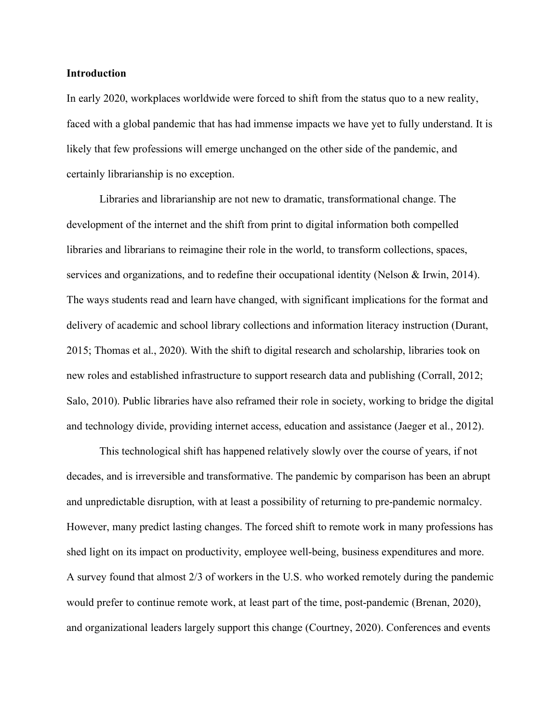# **Introduction**

In early 2020, workplaces worldwide were forced to shift from the status quo to a new reality, faced with a global pandemic that has had immense impacts we have yet to fully understand. It is likely that few professions will emerge unchanged on the other side of the pandemic, and certainly librarianship is no exception.

2015; Thomas et al., 2020). With the shift to digital research and scholarship, libraries took on new roles and established infrastructure to support research data and publishing (Corrall, 2012; Libraries and librarianship are not new to dramatic, transformational change. The development of the internet and the shift from print to digital information both compelled libraries and librarians to reimagine their role in the world, to transform collections, spaces, services and organizations, and to redefine their occupational identity (Nelson & Irwin, 2014). The ways students read and learn have changed, with significant implications for the format and delivery of academic and school library collections and information literacy instruction (Durant, Salo, 2010). Public libraries have also reframed their role in society, working to bridge the digital and technology divide, providing internet access, education and assistance (Jaeger et al., 2012).

This technological shift has happened relatively slowly over the course of years, if not decades, and is irreversible and transformative. The pandemic by comparison has been an abrupt and unpredictable disruption, with at least a possibility of returning to pre-pandemic normalcy. However, many predict lasting changes. The forced shift to remote work in many professions has shed light on its impact on productivity, employee well-being, business expenditures and more. A survey found that almost 2/3 of workers in the U.S. who worked remotely during the pandemic would prefer to continue remote work, at least part of the time, post-pandemic (Brenan, 2020), and organizational leaders largely support this change (Courtney, 2020). Conferences and events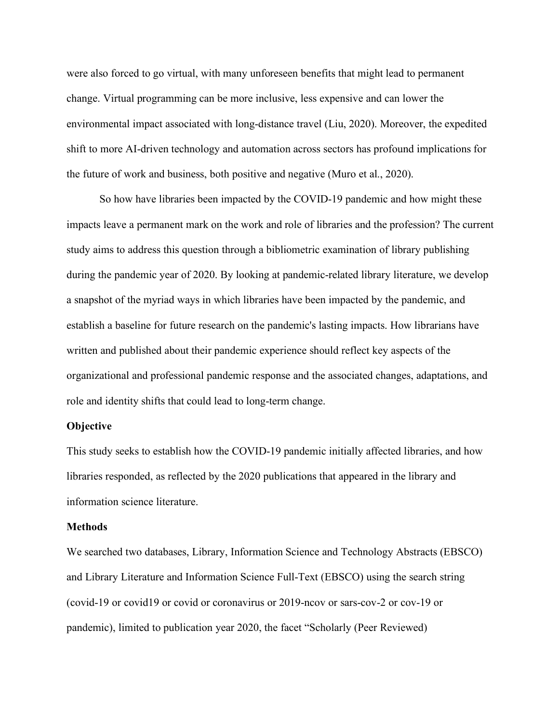were also forced to go virtual, with many unforeseen benefits that might lead to permanent change. Virtual programming can be more inclusive, less expensive and can lower the environmental impact associated with long-distance travel (Liu, 2020). Moreover, the expedited shift to more AI-driven technology and automation across sectors has profound implications for the future of work and business, both positive and negative (Muro et al., 2020).

So how have libraries been impacted by the COVID-19 pandemic and how might these impacts leave a permanent mark on the work and role of libraries and the profession? The current study aims to address this question through a bibliometric examination of library publishing during the pandemic year of 2020. By looking at pandemic-related library literature, we develop establish a baseline for future research on the pandemic's lasting impacts. How librarians have organizational and professional pandemic response and the associated changes, adaptations, and a snapshot of the myriad ways in which libraries have been impacted by the pandemic, and written and published about their pandemic experience should reflect key aspects of the role and identity shifts that could lead to long-term change.

#### **Objective**

This study seeks to establish how the COVID-19 pandemic initially affected libraries, and how libraries responded, as reflected by the 2020 publications that appeared in the library and information science literature.

# **Methods**

We searched two databases, Library, Information Science and Technology Abstracts (EBSCO) and Library Literature and Information Science Full-Text (EBSCO) using the search string (covid-19 or covid19 or covid or coronavirus or 2019-ncov or sars-cov-2 or cov-19 or pandemic), limited to publication year 2020, the facet "Scholarly (Peer Reviewed)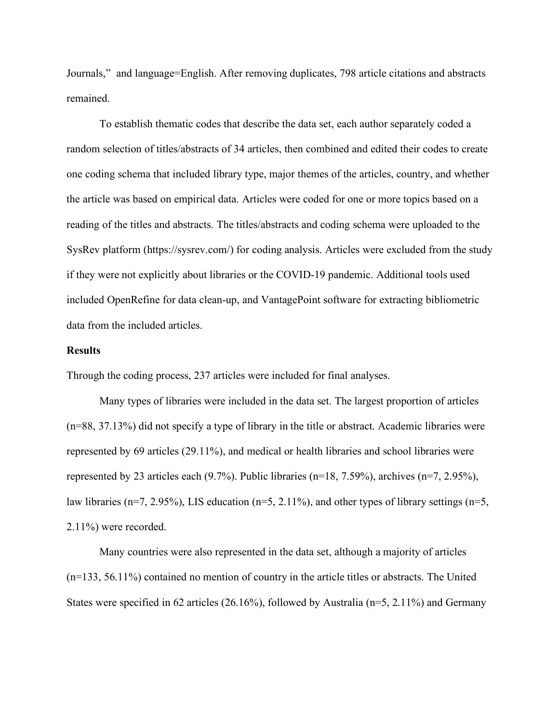Journals," and language=English. After removing duplicates, 798 article citations and abstracts remained.

To establish thematic codes that describe the data set, each author separately coded a random selection of titles/abstracts of 34 articles, then combined and edited their codes to create one coding schema that included library type, major themes of the articles, country, and whether the article was based on empirical data. Articles were coded for one or more topics based on a reading of the titles and abstracts. The titles/abstracts and coding schema were uploaded to the SysRev platform (https://sysrev.com/) for coding analysis. Articles were excluded from the study if they were not explicitly about libraries or the COVID-19 pandemic. Additional tools used data from the included articles. included OpenRefine for data clean-up, and VantagePoint software for extracting bibliometric

# **Results**

Through the coding process, 237 articles were included for final analyses.

(n=88, 37.13%) did not specify a type of library in the title or abstract. Academic libraries were represented by 69 articles (29.11%), and medical or health libraries and school libraries were law libraries (n=7, 2.95%), LIS education (n=5, 2.11%), and other types of library settings (n=5, Many types of libraries were included in the data set. The largest proportion of articles represented by 23 articles each (9.7%). Public libraries (n=18, 7.59%), archives (n=7, 2.95%), 2.11%) were recorded.

Many countries were also represented in the data set, although a majority of articles (n=133, 56.11%) contained no mention of country in the article titles or abstracts. The United States were specified in 62 articles (26.16%), followed by Australia (n=5, 2.11%) and Germany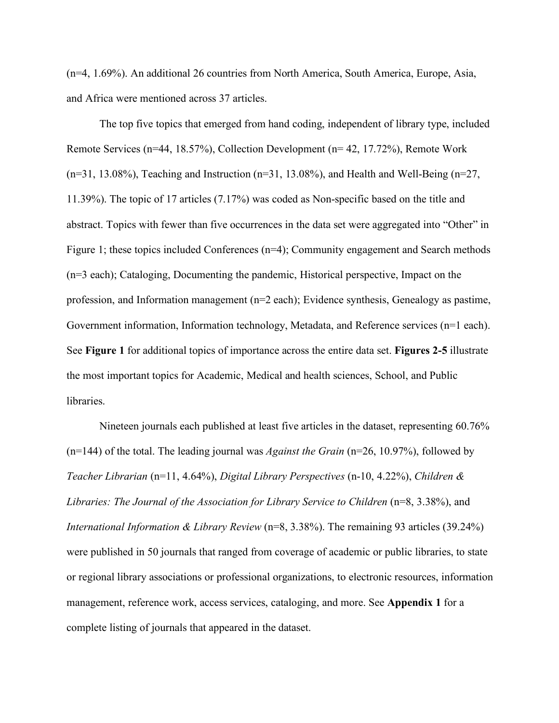(n=4, 1.69%). An additional 26 countries from North America, South America, Europe, Asia, and Africa were mentioned across 37 articles.

The top five topics that emerged from hand coding, independent of library type, included Remote Services (n=44, 18.57%), Collection Development (n= 42, 17.72%), Remote Work  $(n=31, 13.08\%)$ , Teaching and Instruction  $(n=31, 13.08\%)$ , and Health and Well-Being  $(n=27, 13.08\%)$ 11.39%). The topic of 17 articles (7.17%) was coded as Non-specific based on the title and abstract. Topics with fewer than five occurrences in the data set were aggregated into "Other" in Figure 1; these topics included Conferences (n=4); Community engagement and Search methods (n=3 each); Cataloging, Documenting the pandemic, Historical perspective, Impact on the profession, and Information management (n=2 each); Evidence synthesis, Genealogy as pastime, Government information, Information technology, Metadata, and Reference services (n=1 each). See **Figure 1** for additional topics of importance across the entire data set. **Figures 2-5** illustrate libraries. the most important topics for Academic, Medical and health sciences, School, and Public

(n=144) of the total. The leading journal was *Against the Grain* (n=26, 10.97%), followed by *Libraries: The Journal of the Association for Library Service to Children* (n=8, 3.38%), and *International Information & Library Review* (n=8, 3.38%). The remaining 93 articles (39.24%) were published in 50 journals that ranged from coverage of academic or public libraries, to state or regional library associations or professional organizations, to electronic resources, information Nineteen journals each published at least five articles in the dataset, representing 60.76% *Teacher Librarian* (n=11, 4.64%), *Digital Library Perspectives* (n-10, 4.22%), *Children &*  management, reference work, access services, cataloging, and more. See **Appendix 1** for a complete listing of journals that appeared in the dataset.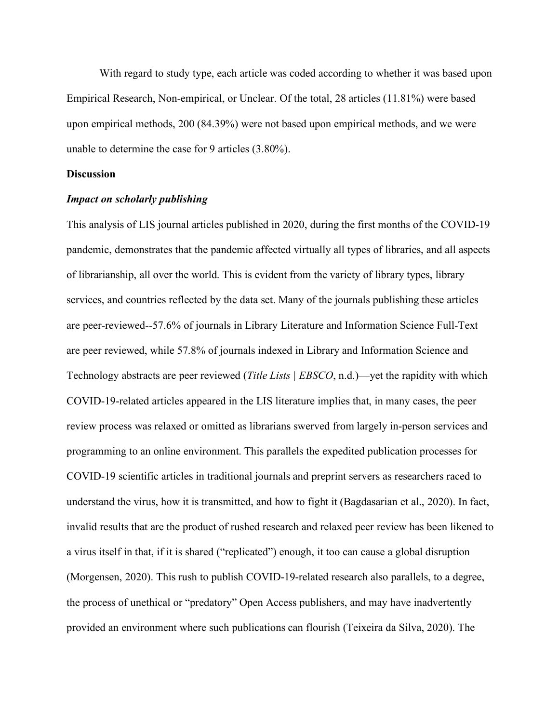With regard to study type, each article was coded according to whether it was based upon Empirical Research, Non-empirical, or Unclear. Of the total, 28 articles (11.81%) were based upon empirical methods, 200 (84.39%) were not based upon empirical methods, and we were unable to determine the case for 9 articles (3.80%).

### **Discussion**

# *Impact on scholarly publishing*

This analysis of LIS journal articles published in 2020, during the first months of the COVID-19 pandemic, demonstrates that the pandemic affected virtually all types of libraries, and all aspects of librarianship, all over the world. This is evident from the variety of library types, library are peer-reviewed--57.6% of journals in Library Literature and Information Science Full-Text Technology abstracts are peer reviewed (*Title Lists | EBSCO*, n.d.)—yet the rapidity with which COVID-19-related articles appeared in the LIS literature implies that, in many cases, the peer review process was relaxed or omitted as librarians swerved from largely in-person services and programming to an online environment. This parallels the expedited publication processes for understand the virus, how it is transmitted, and how to fight it (Bagdasarian et al., 2020). In fact, invalid results that are the product of rushed research and relaxed peer review has been likened to a virus itself in that, if it is shared ("replicated") enough, it too can cause a global disruption (Morgensen, 2020). This rush to publish COVID-19-related research also parallels, to a degree, services, and countries reflected by the data set. Many of the journals publishing these articles are peer reviewed, while 57.8% of journals indexed in Library and Information Science and COVID-19 scientific articles in traditional journals and preprint servers as researchers raced to the process of unethical or "predatory" Open Access publishers, and may have inadvertently provided an environment where such publications can flourish (Teixeira da Silva, 2020). The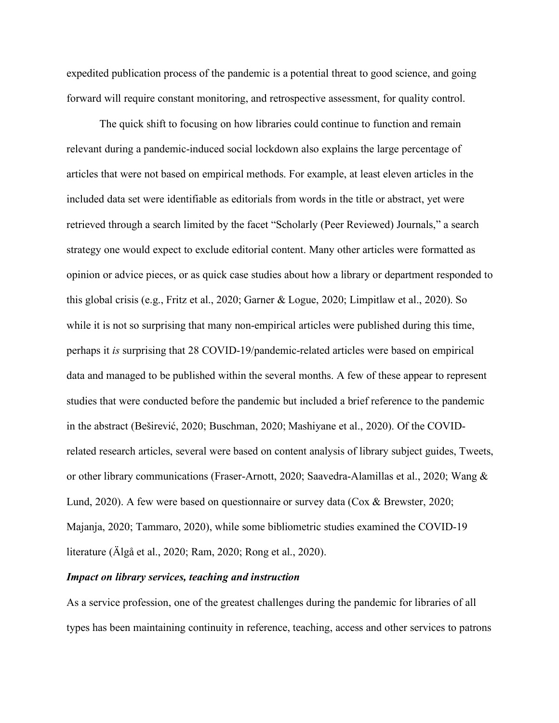expedited publication process of the pandemic is a potential threat to good science, and going forward will require constant monitoring, and retrospective assessment, for quality control.

The quick shift to focusing on how libraries could continue to function and remain relevant during a pandemic-induced social lockdown also explains the large percentage of this global crisis (e.g., Fritz et al., 2020; Garner & Logue, 2020; Limpitlaw et al., 2020). So perhaps it *is* surprising that 28 COVID-19/pandemic-related articles were based on empirical in the abstract (Beširević, 2020; Buschman, 2020; Mashiyane et al., 2020). Of the COVIDarticles that were not based on empirical methods. For example, at least eleven articles in the included data set were identifiable as editorials from words in the title or abstract, yet were retrieved through a search limited by the facet "Scholarly (Peer Reviewed) Journals," a search strategy one would expect to exclude editorial content. Many other articles were formatted as opinion or advice pieces, or as quick case studies about how a library or department responded to while it is not so surprising that many non-empirical articles were published during this time, data and managed to be published within the several months. A few of these appear to represent studies that were conducted before the pandemic but included a brief reference to the pandemic related research articles, several were based on content analysis of library subject guides, Tweets, or other library communications (Fraser-Arnott, 2020; Saavedra-Alamillas et al., 2020; Wang & Lund, 2020). A few were based on questionnaire or survey data (Cox & Brewster, 2020; Majanja, 2020; Tammaro, 2020), while some bibliometric studies examined the COVID-19 literature (Älgå et al., 2020; Ram, 2020; Rong et al., 2020).

# *Impact on library services, teaching and instruction*

As a service profession, one of the greatest challenges during the pandemic for libraries of all types has been maintaining continuity in reference, teaching, access and other services to patrons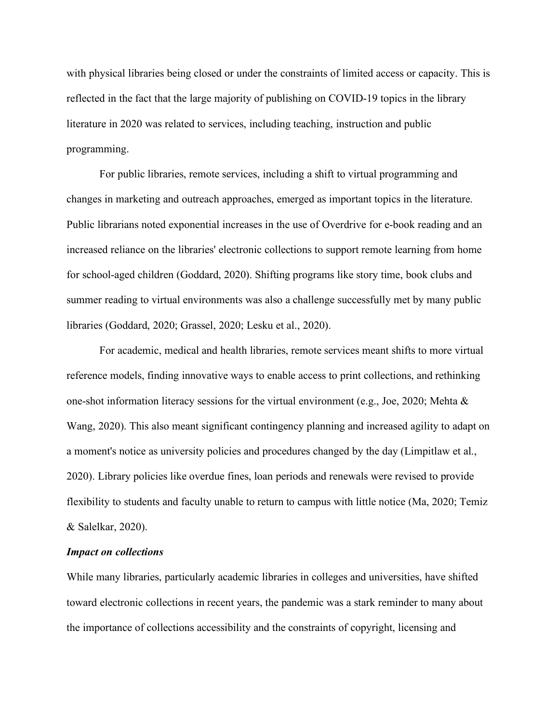with physical libraries being closed or under the constraints of limited access or capacity. This is reflected in the fact that the large majority of publishing on COVID-19 topics in the library literature in 2020 was related to services, including teaching, instruction and public programming.

For public libraries, remote services, including a shift to virtual programming and changes in marketing and outreach approaches, emerged as important topics in the literature. Public librarians noted exponential increases in the use of Overdrive for e-book reading and an increased reliance on the libraries' electronic collections to support remote learning from home for school-aged children (Goddard, 2020). Shifting programs like story time, book clubs and libraries (Goddard, 2020; Grassel, 2020; Lesku et al., 2020). summer reading to virtual environments was also a challenge successfully met by many public

one-shot information literacy sessions for the virtual environment (e.g., Joe, 2020; Mehta & Wang, 2020). This also meant significant contingency planning and increased agility to adapt on a moment's notice as university policies and procedures changed by the day (Limpitlaw et al., flexibility to students and faculty unable to return to campus with little notice (Ma, 2020; Temiz For academic, medical and health libraries, remote services meant shifts to more virtual reference models, finding innovative ways to enable access to print collections, and rethinking 2020). Library policies like overdue fines, loan periods and renewals were revised to provide & Salelkar, 2020).

# *Impact on collections*

While many libraries, particularly academic libraries in colleges and universities, have shifted toward electronic collections in recent years, the pandemic was a stark reminder to many about the importance of collections accessibility and the constraints of copyright, licensing and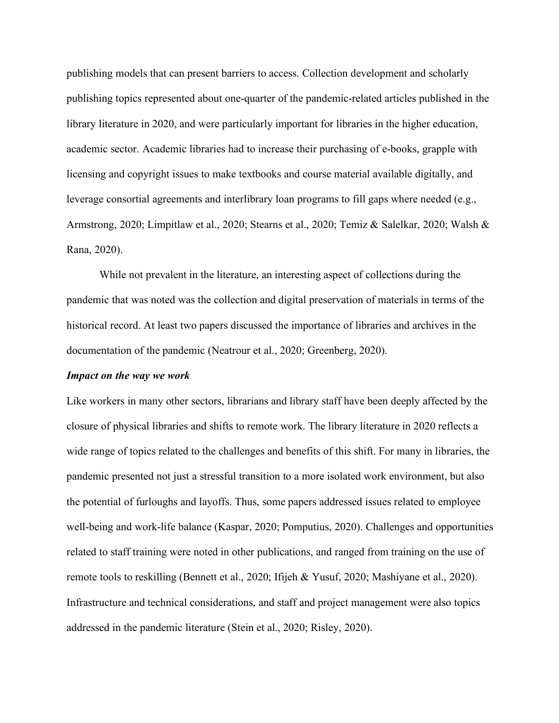publishing models that can present barriers to access. Collection development and scholarly publishing topics represented about one-quarter of the pandemic-related articles published in the library literature in 2020, and were particularly important for libraries in the higher education, academic sector. Academic libraries had to increase their purchasing of e-books, grapple with licensing and copyright issues to make textbooks and course material available digitally, and leverage consortial agreements and interlibrary loan programs to fill gaps where needed (e.g., Armstrong, 2020; Limpitlaw et al., 2020; Stearns et al., 2020; Temiz & Salelkar, 2020; Walsh & Rana, 2020).

documentation of the pandemic (Neatrour et al., 2020; Greenberg, 2020). While not prevalent in the literature, an interesting aspect of collections during the pandemic that was noted was the collection and digital preservation of materials in terms of the historical record. At least two papers discussed the importance of libraries and archives in the

#### *Impact on the way we work*

closure of physical libraries and shifts to remote work. The library literature in 2020 reflects a Like workers in many other sectors, librarians and library staff have been deeply affected by the wide range of topics related to the challenges and benefits of this shift. For many in libraries, the pandemic presented not just a stressful transition to a more isolated work environment, but also the potential of furloughs and layoffs. Thus, some papers addressed issues related to employee well-being and work-life balance (Kaspar, 2020; Pomputius, 2020). Challenges and opportunities related to staff training were noted in other publications, and ranged from training on the use of remote tools to reskilling (Bennett et al., 2020; Ifijeh & Yusuf, 2020; Mashiyane et al., 2020). Infrastructure and technical considerations, and staff and project management were also topics addressed in the pandemic literature (Stein et al., 2020; Risley, 2020).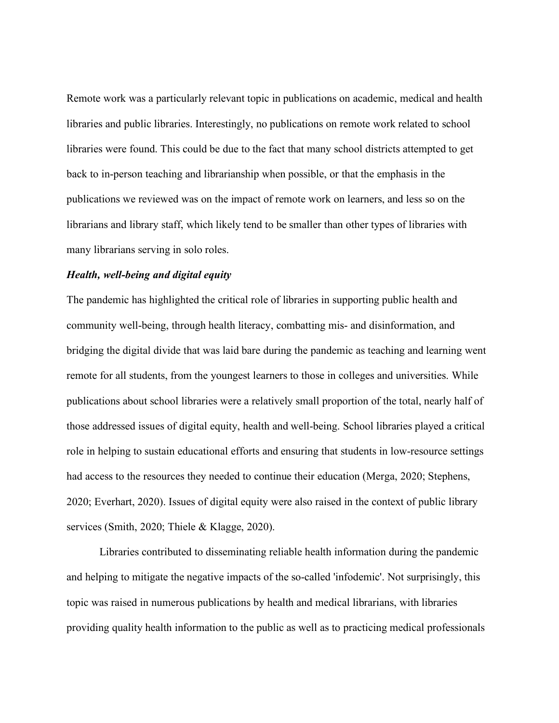Remote work was a particularly relevant topic in publications on academic, medical and health libraries and public libraries. Interestingly, no publications on remote work related to school libraries were found. This could be due to the fact that many school districts attempted to get back to in-person teaching and librarianship when possible, or that the emphasis in the publications we reviewed was on the impact of remote work on learners, and less so on the librarians and library staff, which likely tend to be smaller than other types of libraries with many librarians serving in solo roles.

# *Health, well-being and digital equity*

bridging the digital divide that was laid bare during the pandemic as teaching and learning went publications about school libraries were a relatively small proportion of the total, nearly half of those addressed issues of digital equity, health and well-being. School libraries played a critical role in helping to sustain educational efforts and ensuring that students in low-resource settings 2020; Everhart, 2020). Issues of digital equity were also raised in the context of public library The pandemic has highlighted the critical role of libraries in supporting public health and community well-being, through health literacy, combatting mis- and disinformation, and remote for all students, from the youngest learners to those in colleges and universities. While had access to the resources they needed to continue their education (Merga, 2020; Stephens, services (Smith, 2020; Thiele & Klagge, 2020).

Libraries contributed to disseminating reliable health information during the pandemic and helping to mitigate the negative impacts of the so-called 'infodemic'. Not surprisingly, this topic was raised in numerous publications by health and medical librarians, with libraries providing quality health information to the public as well as to practicing medical professionals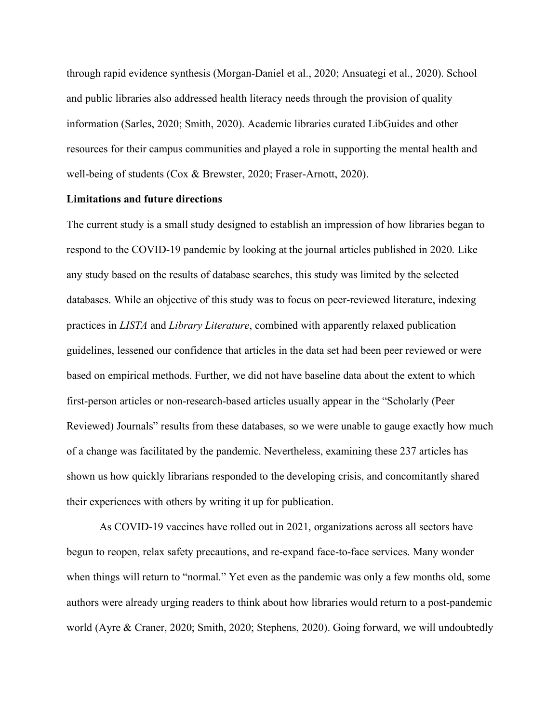through rapid evidence synthesis (Morgan-Daniel et al., 2020; Ansuategi et al., 2020). School and public libraries also addressed health literacy needs through the provision of quality information (Sarles, 2020; Smith, 2020). Academic libraries curated LibGuides and other resources for their campus communities and played a role in supporting the mental health and well-being of students (Cox & Brewster, 2020; Fraser-Arnott, 2020).

#### **Limitations and future directions**

The current study is a small study designed to establish an impression of how libraries began to respond to the COVID-19 pandemic by looking at the journal articles published in 2020. Like any study based on the results of database searches, this study was limited by the selected first-person articles or non-research-based articles usually appear in the "Scholarly (Peer Reviewed) Journals" results from these databases, so we were unable to gauge exactly how much of a change was facilitated by the pandemic. Nevertheless, examining these 237 articles has databases. While an objective of this study was to focus on peer-reviewed literature, indexing practices in *LISTA* and *Library Literature*, combined with apparently relaxed publication guidelines, lessened our confidence that articles in the data set had been peer reviewed or were based on empirical methods. Further, we did not have baseline data about the extent to which shown us how quickly librarians responded to the developing crisis, and concomitantly shared their experiences with others by writing it up for publication.

As COVID-19 vaccines have rolled out in 2021, organizations across all sectors have begun to reopen, relax safety precautions, and re-expand face-to-face services. Many wonder when things will return to "normal." Yet even as the pandemic was only a few months old, some authors were already urging readers to think about how libraries would return to a post-pandemic world (Ayre & Craner, 2020; Smith, 2020; Stephens, 2020). Going forward, we will undoubtedly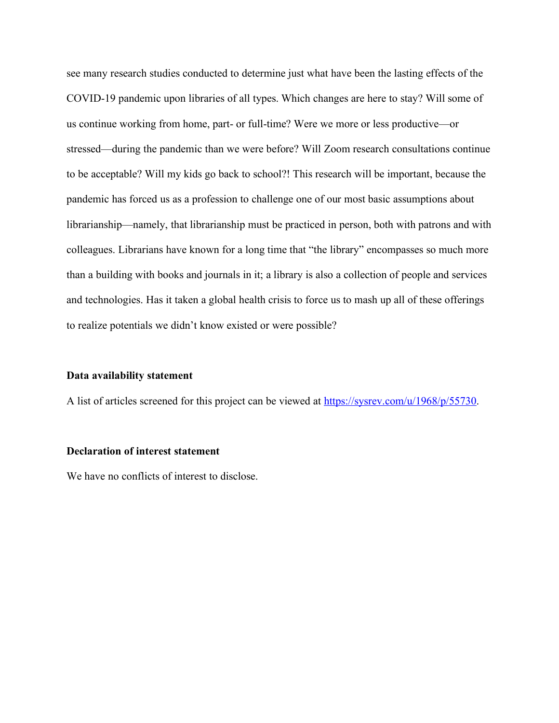pandemic has forced us as a profession to challenge one of our most basic assumptions about librarianship—namely, that librarianship must be practiced in person, both with patrons and with colleagues. Librarians have known for a long time that "the library" encompasses so much more than a building with books and journals in it; a library is also a collection of people and services and technologies. Has it taken a global health crisis to force us to mash up all of these offerings to realize potentials we didn't know existed or were possible? see many research studies conducted to determine just what have been the lasting effects of the COVID-19 pandemic upon libraries of all types. Which changes are here to stay? Will some of us continue working from home, part- or full-time? Were we more or less productive—or stressed—during the pandemic than we were before? Will Zoom research consultations continue to be acceptable? Will my kids go back to school?! This research will be important, because the

## **Data availability statement**

A list of articles screened for this project can be viewed at https://sysrev.com/u/1968/p/55730.

#### **Declaration of interest statement**

We have no conflicts of interest to disclose.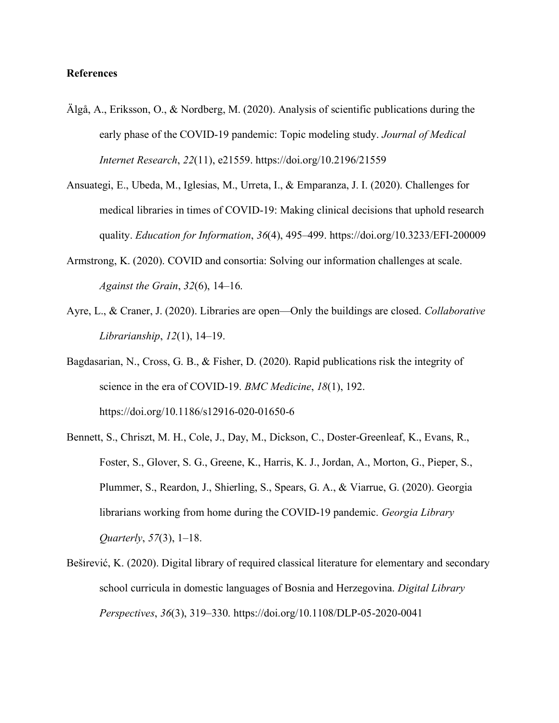# **References**

- Älgå, A., Eriksson, O., & Nordberg, M. (2020). Analysis of scientific publications during the early phase of the COVID-19 pandemic: Topic modeling study. *Journal of Medical Internet Research*, *22*(11), e21559. https://doi.org/10.2196/21559
- Ansuategi, E., Ubeda, M., Iglesias, M., Urreta, I., & Emparanza, J. I. (2020). Challenges for medical libraries in times of COVID-19: Making clinical decisions that uphold research quality. *Education for Information*, *36*(4), 495–499. https://doi.org/10.3233/EFI-200009
- Armstrong, K. (2020). COVID and consortia: Solving our information challenges at scale. *Against the Grain*, *32*(6), 14–16.
- Ayre, L., & Craner, J. (2020). Libraries are open—Only the buildings are closed. *Collaborative Librarianship*, *12*(1), 14–19.
- Bagdasarian, N., Cross, G. B., & Fisher, D. (2020). Rapid publications risk the integrity of science in the era of COVID-19. *BMC Medicine*, *18*(1), 192. https://doi.org/10.1186/s12916-020-01650-6
- Bennett, S., Chriszt, M. H., Cole, J., Day, M., Dickson, C., Doster-Greenleaf, K., Evans, R., Foster, S., Glover, S. G., Greene, K., Harris, K. J., Jordan, A., Morton, G., Pieper, S., Plummer, S., Reardon, J., Shierling, S., Spears, G. A., & Viarrue, G. (2020). Georgia librarians working from home during the COVID-19 pandemic. *Georgia Library Quarterly*, *57*(3), 1–18.
- Beširević, K. (2020). Digital library of required classical literature for elementary and secondary school curricula in domestic languages of Bosnia and Herzegovina. *Digital Library Perspectives*, *36*(3), 319–330. https://doi.org/10.1108/DLP-05-2020-0041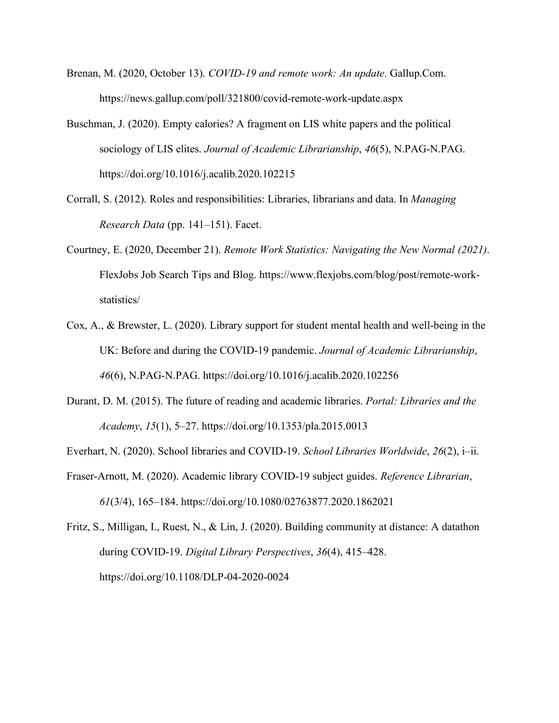- Brenan, M. (2020, October 13). *COVID-19 and remote work: An update*. Gallup.Com. https://news.gallup.com/poll/321800/covid-remote-work-update.aspx
- Buschman, J. (2020). Empty calories? A fragment on LIS white papers and the political sociology of LIS elites. *Journal of Academic Librarianship*, *46*(5), N.PAG-N.PAG. https://doi.org/10.1016/j.acalib.2020.102215
- Corrall, S. (2012). Roles and responsibilities: Libraries, librarians and data. In *Managing Research Data* (pp. 141–151). Facet.
- Courtney, E. (2020, December 21). *Remote Work Statistics: Navigating the New Normal (2021)*. FlexJobs Job Search Tips and Blog. https://www.flexjobs.com/blog/post/remote-workstatistics/
- Cox, A., & Brewster, L. (2020). Library support for student mental health and well-being in the UK: Before and during the COVID-19 pandemic. *Journal of Academic Librarianship*, *46*(6), N.PAG-N.PAG. https://doi.org/10.1016/j.acalib.2020.102256
- Durant, D. M. (2015). The future of reading and academic libraries. *Portal: Libraries and the Academy*, *15*(1), 5–27. https://doi.org/10.1353/pla.2015.0013

Everhart, N. (2020). School libraries and COVID-19. *School Libraries Worldwide*, *26*(2), i–ii.

*61*(3/4), 165–184. https://doi.org/10.1080/02763877.2020.1862021 Fraser-Arnott, M. (2020). Academic library COVID-19 subject guides. *Reference Librarian*,

Fritz, S., Milligan, I., Ruest, N., & Lin, J. (2020). Building community at distance: A datathon during COVID-19. *Digital Library Perspectives*, *36*(4), 415–428. https://doi.org/10.1108/DLP-04-2020-0024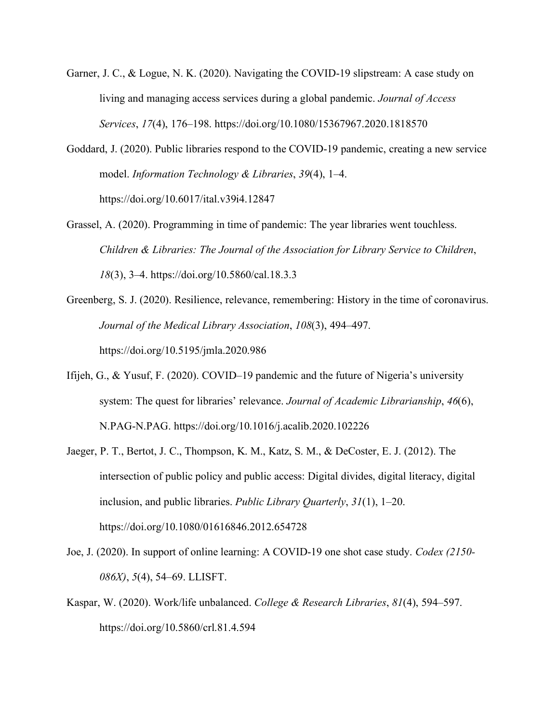- Garner, J. C., & Logue, N. K. (2020). Navigating the COVID-19 slipstream: A case study on living and managing access services during a global pandemic. *Journal of Access Services*, *17*(4), 176–198. https://doi.org/10.1080/15367967.2020.1818570
- Goddard, J. (2020). Public libraries respond to the COVID-19 pandemic, creating a new service model. *Information Technology & Libraries*, *39*(4), 1–4. https://doi.org/10.6017/ital.v39i4.12847
- Grassel, A. (2020). Programming in time of pandemic: The year libraries went touchless. *18*(3), 3–4. https://doi.org/10.5860/cal.18.3.3 *Children & Libraries: The Journal of the Association for Library Service to Children*,
- Greenberg, S. J. (2020). Resilience, relevance, remembering: History in the time of coronavirus. https://doi.org/10.5195/jmla.2020.986 *Journal of the Medical Library Association*, *108*(3), 494–497.
- Ifijeh, G., & Yusuf, F. (2020). COVID–19 pandemic and the future of Nigeria's university system: The quest for libraries' relevance. *Journal of Academic Librarianship*, *46*(6), N.PAG-N.PAG. https://doi.org/10.1016/j.acalib.2020.102226
- intersection of public policy and public access: Digital divides, digital literacy, digital inclusion, and public libraries. *Public Library Quarterly*, *31*(1), 1–20. Jaeger, P. T., Bertot, J. C., Thompson, K. M., Katz, S. M., & DeCoster, E. J. (2012). The https://doi.org/10.1080/01616846.2012.654728
- Joe, J. (2020). In support of online learning: A COVID-19 one shot case study. *Codex (2150- 086X)*, *5*(4), 54–69. LLISFT.
- Kaspar, W. (2020). Work/life unbalanced. *College & Research Libraries*, *81*(4), 594–597. https://doi.org/10.5860/crl.81.4.594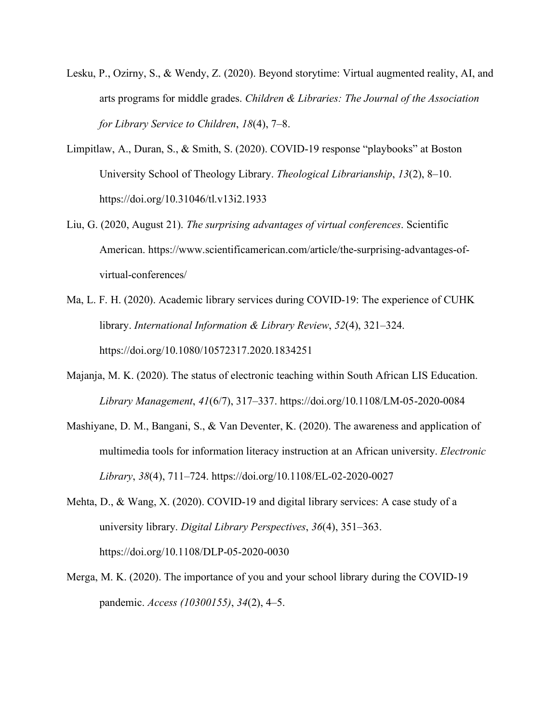- Lesku, P., Ozirny, S., & Wendy, Z. (2020). Beyond storytime: Virtual augmented reality, AI, and arts programs for middle grades. *Children & Libraries: The Journal of the Association for Library Service to Children*, *18*(4), 7–8.
- Limpitlaw, A., Duran, S., & Smith, S. (2020). COVID-19 response "playbooks" at Boston University School of Theology Library. *Theological Librarianship*, *13*(2), 8–10. https://doi.org/10.31046/tl.v13i2.1933
- Liu, G. (2020, August 21). *The surprising advantages of virtual conferences*. Scientific virtual-conferences/ American. https://www.scientificamerican.com/article/the-surprising-advantages-of-
- Ma, L. F. H. (2020). Academic library services during COVID-19: The experience of CUHK library. *International Information & Library Review*, *52*(4), 321–324. https://doi.org/10.1080/10572317.2020.1834251
- Majanja, M. K. (2020). The status of electronic teaching within South African LIS Education. *Library Management*, *41*(6/7), 317–337. https://doi.org/10.1108/LM-05-2020-0084
- multimedia tools for information literacy instruction at an African university. *Electronic*  Mashiyane, D. M., Bangani, S., & Van Deventer, K. (2020). The awareness and application of *Library*, *38*(4), 711–724. https://doi.org/10.1108/EL-02-2020-0027
- Mehta, D., & Wang, X. (2020). COVID-19 and digital library services: A case study of a university library. *Digital Library Perspectives*, *36*(4), 351–363. https://doi.org/10.1108/DLP-05-2020-0030
- Merga, M. K. (2020). The importance of you and your school library during the COVID-19 pandemic. *Access (10300155)*, *34*(2), 4–5.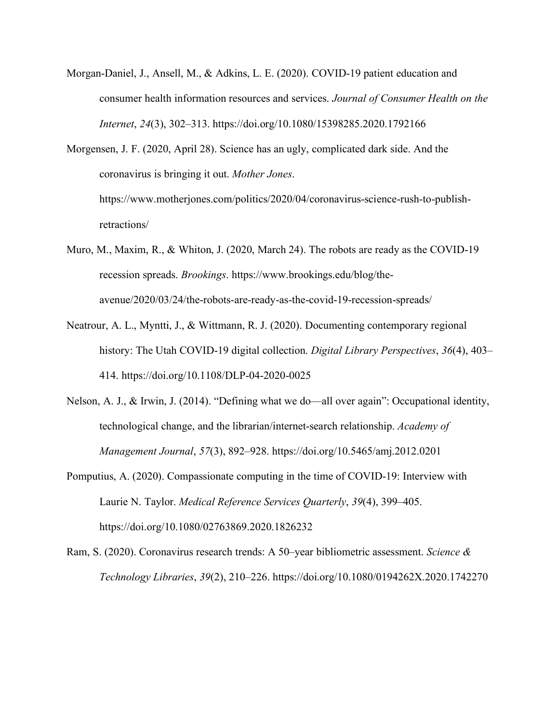Morgan-Daniel, J., Ansell, M., & Adkins, L. E. (2020). COVID-19 patient education and consumer health information resources and services. *Journal of Consumer Health on the Internet*, *24*(3), 302–313. https://doi.org/10.1080/15398285.2020.1792166

Morgensen, J. F. (2020, April 28). Science has an ugly, complicated dark side. And the coronavirus is bringing it out. *Mother Jones*. https://www.motherjones.com/politics/2020/04/coronavirus-science-rush-to-publishretractions/

- Muro, M., Maxim, R., & Whiton, J. (2020, March 24). The robots are ready as the COVID-19 recession spreads. *Brookings*. https://www.brookings.edu/blog/theavenue/2020/03/24/the-robots-are-ready-as-the-covid-19-recession-spreads/
- Neatrour, A. L., Myntti, J., & Wittmann, R. J. (2020). Documenting contemporary regional history: The Utah COVID-19 digital collection. *Digital Library Perspectives*, *36*(4), 403– 414. https://doi.org/10.1108/DLP-04-2020-0025
- Nelson, A. J., & Irwin, J. (2014). "Defining what we do—all over again": Occupational identity, technological change, and the librarian/internet-search relationship. *Academy of Management Journal*, *57*(3), 892–928. https://doi.org/10.5465/amj.2012.0201
- Laurie N. Taylor. *Medical Reference Services Quarterly*, *39*(4), 399–405. Pomputius, A. (2020). Compassionate computing in the time of COVID-19: Interview with https://doi.org/10.1080/02763869.2020.1826232
- Ram, S. (2020). Coronavirus research trends: A 50–year bibliometric assessment. *Science & Technology Libraries*, *39*(2), 210–226. https://doi.org/10.1080/0194262X.2020.1742270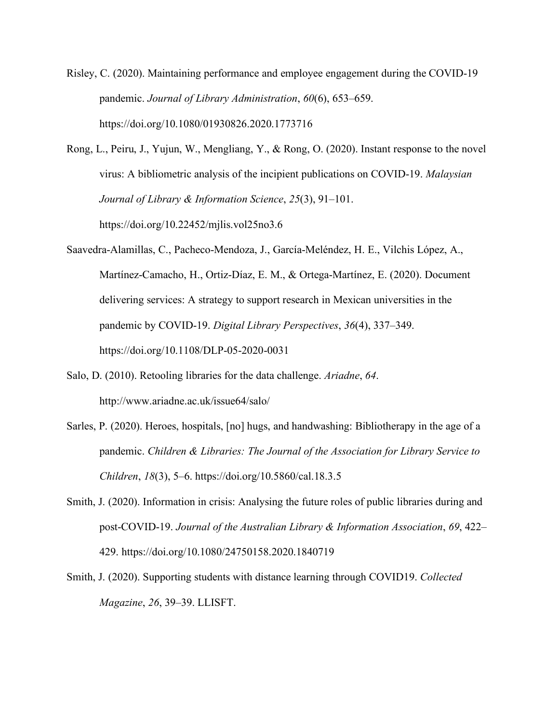Risley, C. (2020). Maintaining performance and employee engagement during the COVID-19 pandemic. *Journal of Library Administration*, *60*(6), 653–659. https://doi.org/10.1080/01930826.2020.1773716

Rong, L., Peiru, J., Yujun, W., Mengliang, Y., & Rong, O. (2020). Instant response to the novel virus: A bibliometric analysis of the incipient publications on COVID-19. *Malaysian Journal of Library & Information Science*, *25*(3), 91–101. https://doi.org/10.22452/mjlis.vol25no3.6

Saavedra-Alamillas, C., Pacheco-Mendoza, J., García-Meléndez, H. E., Vilchis López, A., Martínez-Camacho, H., Ortiz-Díaz, E. M., & Ortega-Martínez, E. (2020). Document https://doi.org/10.1108/DLP-05-2020-0031 delivering services: A strategy to support research in Mexican universities in the pandemic by COVID-19. *Digital Library Perspectives*, *36*(4), 337–349.

- Salo, D. (2010). Retooling libraries for the data challenge. *Ariadne*, *64*. http://www.ariadne.ac.uk/issue64/salo/
- pandemic. *Children & Libraries: The Journal of the Association for Library Service to*  Sarles, P. (2020). Heroes, hospitals, [no] hugs, and handwashing: Bibliotherapy in the age of a *Children*, *18*(3), 5–6. https://doi.org/10.5860/cal.18.3.5
- Smith, J. (2020). Information in crisis: Analysing the future roles of public libraries during and post-COVID-19. *Journal of the Australian Library & Information Association*, *69*, 422– 429. https://doi.org/10.1080/24750158.2020.1840719
- Smith, J. (2020). Supporting students with distance learning through COVID19. *Collected Magazine*, *26*, 39–39. LLISFT.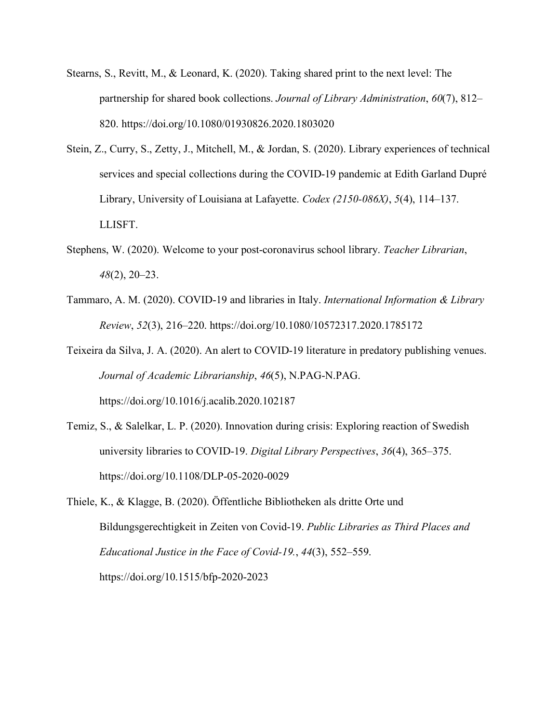- Stearns, S., Revitt, M., & Leonard, K. (2020). Taking shared print to the next level: The partnership for shared book collections. *Journal of Library Administration*, *60*(7), 812– 820. https://doi.org/10.1080/01930826.2020.1803020
- Stein, Z., Curry, S., Zetty, J., Mitchell, M., & Jordan, S. (2020). Library experiences of technical services and special collections during the COVID-19 pandemic at Edith Garland Dupré Library, University of Louisiana at Lafayette. *Codex (2150-086X)*, *5*(4), 114–137. LLISFT.
- Stephens, W. (2020). Welcome to your post-coronavirus school library. *Teacher Librarian*, *48*(2), 20–23.
- Tammaro, A. M. (2020). COVID-19 and libraries in Italy. *International Information & Library Review*, *52*(3), 216–220. https://doi.org/10.1080/10572317.2020.1785172
- Teixeira da Silva, J. A. (2020). An alert to COVID-19 literature in predatory publishing venues. *Journal of Academic Librarianship*, *46*(5), N.PAG-N.PAG. https://doi.org/10.1016/j.acalib.2020.102187
- university libraries to COVID-19. *Digital Library Perspectives*, *36*(4), 365–375. Temiz, S., & Salelkar, L. P. (2020). Innovation during crisis: Exploring reaction of Swedish https://doi.org/10.1108/DLP-05-2020-0029
- Thiele, K., & Klagge, B. (2020). Öffentliche Bibliotheken als dritte Orte und Bildungsgerechtigkeit in Zeiten von Covid-19. *Public Libraries as Third Places and Educational Justice in the Face of Covid-19.*, *44*(3), 552–559. https://doi.org/10.1515/bfp-2020-2023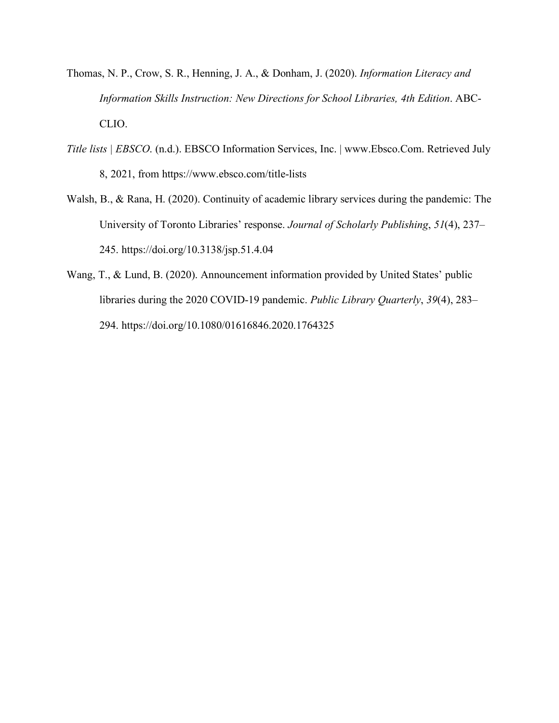- Thomas, N. P., Crow, S. R., Henning, J. A., & Donham, J. (2020). *Information Literacy and Information Skills Instruction: New Directions for School Libraries, 4th Edition*. ABC-CLIO.
- *Title lists | EBSCO*. (n.d.). EBSCO Information Services, Inc. | www.Ebsco.Com. Retrieved July 8, 2021, from https://www.ebsco.com/title-lists
- Walsh, B., & Rana, H. (2020). Continuity of academic library services during the pandemic: The University of Toronto Libraries' response. *Journal of Scholarly Publishing*, *51*(4), 237– 245. https://doi.org/10.3138/jsp.51.4.04
- Wang, T., & Lund, B. (2020). Announcement information provided by United States' public libraries during the 2020 COVID-19 pandemic. *Public Library Quarterly*, *39*(4), 283– 294. https://doi.org/10.1080/01616846.2020.1764325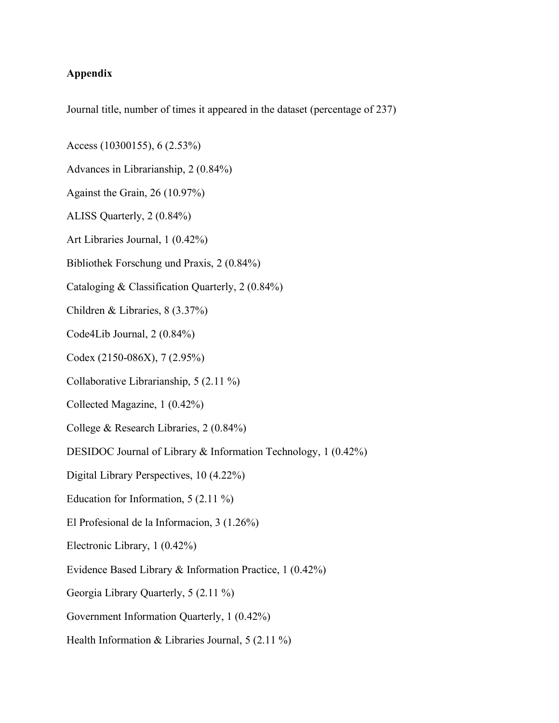# **Appendix**

Journal title, number of times it appeared in the dataset (percentage of 237)

- Access (10300155), 6 (2.53%)
- Advances in Librarianship, 2 (0.84%)
- Against the Grain, 26 (10.97%)
- ALISS Quarterly, 2 (0.84%)
- Art Libraries Journal, 1 (0.42%)
- Bibliothek Forschung und Praxis, 2 (0.84%)
- Cataloging & Classification Quarterly, 2 (0.84%)
- Children & Libraries, 8 (3.37%)
- Code4Lib Journal, 2 (0.84%)
- Codex (2150-086X), 7 (2.95%)
- Collaborative Librarianship, 5 (2.11 %)
- Collected Magazine, 1 (0.42%)
- College & Research Libraries, 2 (0.84%)
- DESIDOC Journal of Library & Information Technology, 1 (0.42%)
- Digital Library Perspectives, 10 (4.22%)
- Education for Information, 5 (2.11 %)
- El Profesional de la Informacion, 3 (1.26%)
- Electronic Library, 1 (0.42%)
- Evidence Based Library & Information Practice, 1 (0.42%)
- Georgia Library Quarterly, 5 (2.11 %)
- 
- Georgia Library Quarterly, 5 (2.11 %)<br>Government Information Quarterly, 1 (0.42%)<br>Health Information & Libraries Journal, 5 (2.11 %)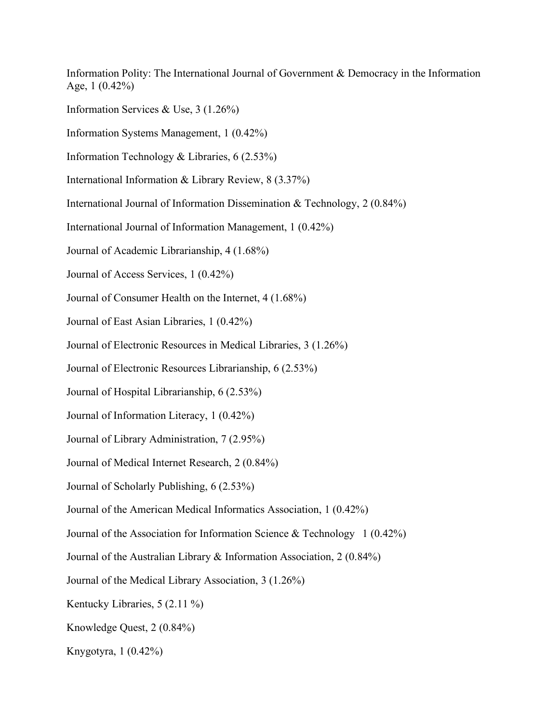Age,  $1(0.42\%)$ Information Polity: The International Journal of Government & Democracy in the Information Age, 1 (0.42%)<br>Information Services & Use, 3 (1.26%)<br>Information Systems Management, 1 (0.42%)<br>Information Technology & Libraries, 6 (2.53%)<br>International Information & Library Review, 8 (3.37%)<br>International Journal of In

Information Services & Use,  $3(1.26\%)$ 

Information Systems Management, 1 (0.42%)

Information Technology & Libraries,  $6(2.53\%)$ 

International Information & Library Review,  $8(3.37%)$ 

International Journal of Information Management, 1 (0.42%)

Journal of Academic Librarianship, 4 (1.68%)

Journal of Access Services, 1 (0.42%)

Journal of Consumer Health on the Internet, 4 (1.68%)

Journal of East Asian Libraries, 1 (0.42%)

Journal of Electronic Resources in Medical Libraries, 3 (1.26%)

Journal of Electronic Resources Librarianship, 6 (2.53%)

Journal of Hospital Librarianship, 6 (2.53%)

Journal of Information Literacy, 1 (0.42%)

Journal of Library Administration, 7 (2.95%)

Journal of Medical Internet Research, 2 (0.84%)

Journal of Scholarly Publishing, 6 (2.53%)

Journal of the American Medical Informatics Association, 1 (0.42%)

Journal of the Association for Information Science & Technology 1 (0.42%)

Journal of the Australian Library & Information Association, 2 (0.84%)

Journal of the Medical Library Association, 3 (1.26%)<br>Kentucky Libraries, 5 (2.11 %)<br>Knowledge Quest, 2 (0.84%)<br>Knygotyra, 1 (0.42%)

Kentucky Libraries,  $5(2.11\%)$ 

Knowledge Quest, 2 (0.84%)

Knygotyra,  $1(0.42\%)$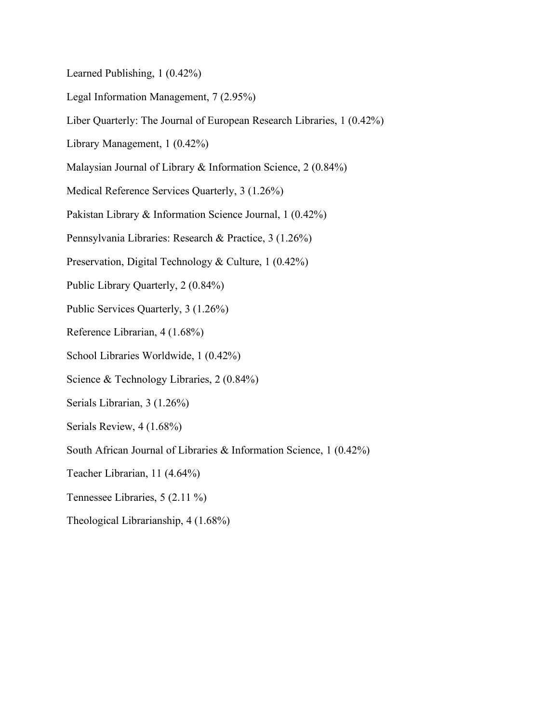- Legal Information Management, 7 (2.95%)
- Learned Publishing, 1 (0.42%)<br>Legal Information Management, 7 (2.95%)<br>Liber Quarterly: The Journal of European Research Libraries, 1 (0.42%)<br>Library Management, 1 (0.42%)<br>Malaysian Journal of Library & Information Science,
- 
- 
- Medical Reference Services Quarterly, 3 (1.26%)
- Pakistan Library & Information Science Journal, 1 (0.42%)
- Pennsylvania Libraries: Research & Practice, 3 (1.26%)
- Preservation, Digital Technology & Culture, 1 (0.42%)
- Public Library Quarterly, 2 (0.84%)
- Public Services Quarterly, 3 (1.26%)
- Reference Librarian, 4 (1.68%)
- School Libraries Worldwide, 1 (0.42%)
- Science & Technology Libraries, 2 (0.84%)
- Serials Librarian, 3 (1.26%)
- Serials Review, 4 (1.68%)
- South African Journal of Libraries & Information Science, 1 (0.42%)
- Teacher Librarian, 11 (4.64%)
- Tennessee Libraries, 5 (2.11 %)
- Theological Librarianship, 4 (1.68%)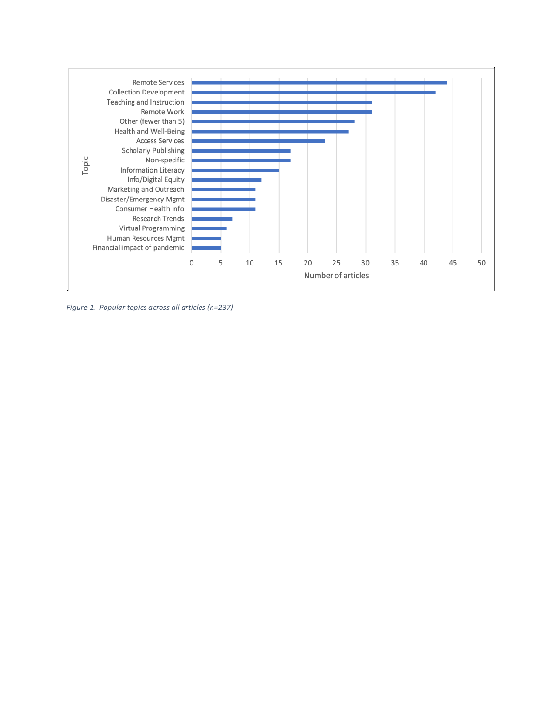

*Figure 1. Popular topics across all articles (n=237)*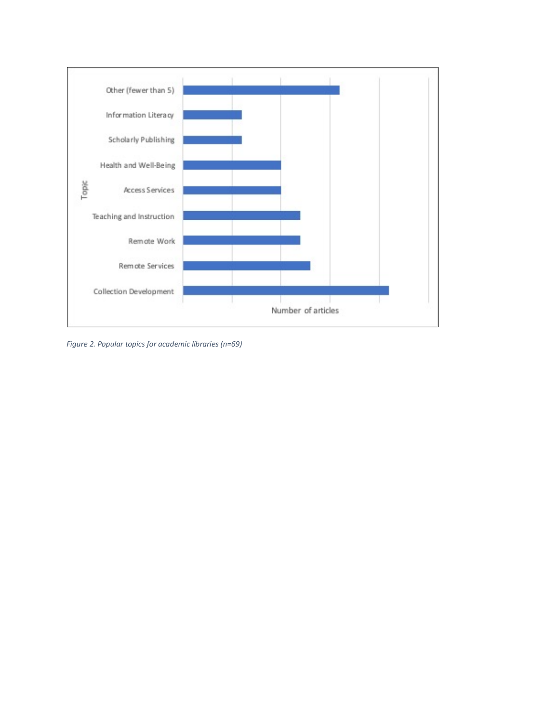

*Figure 2. Popular topics for academic libraries (n=69)*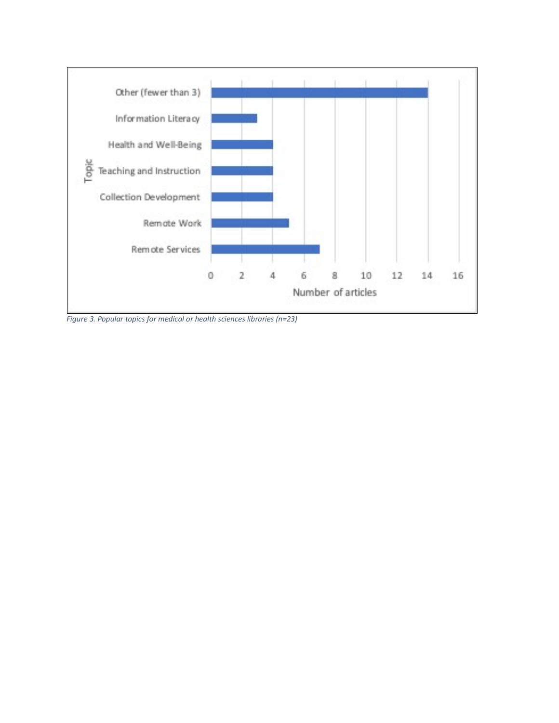

*Figure 3. Popular topics for medical or health sciences libraries (n=23)*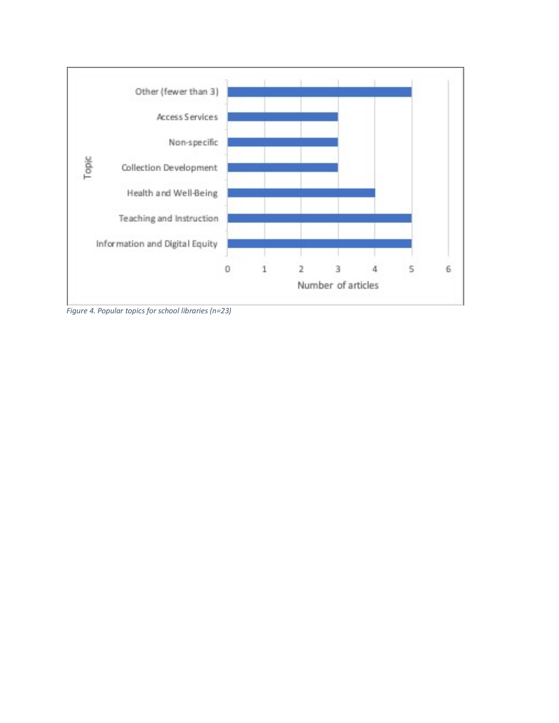

*Figure 4. Popular topics for school libraries (n=23)*